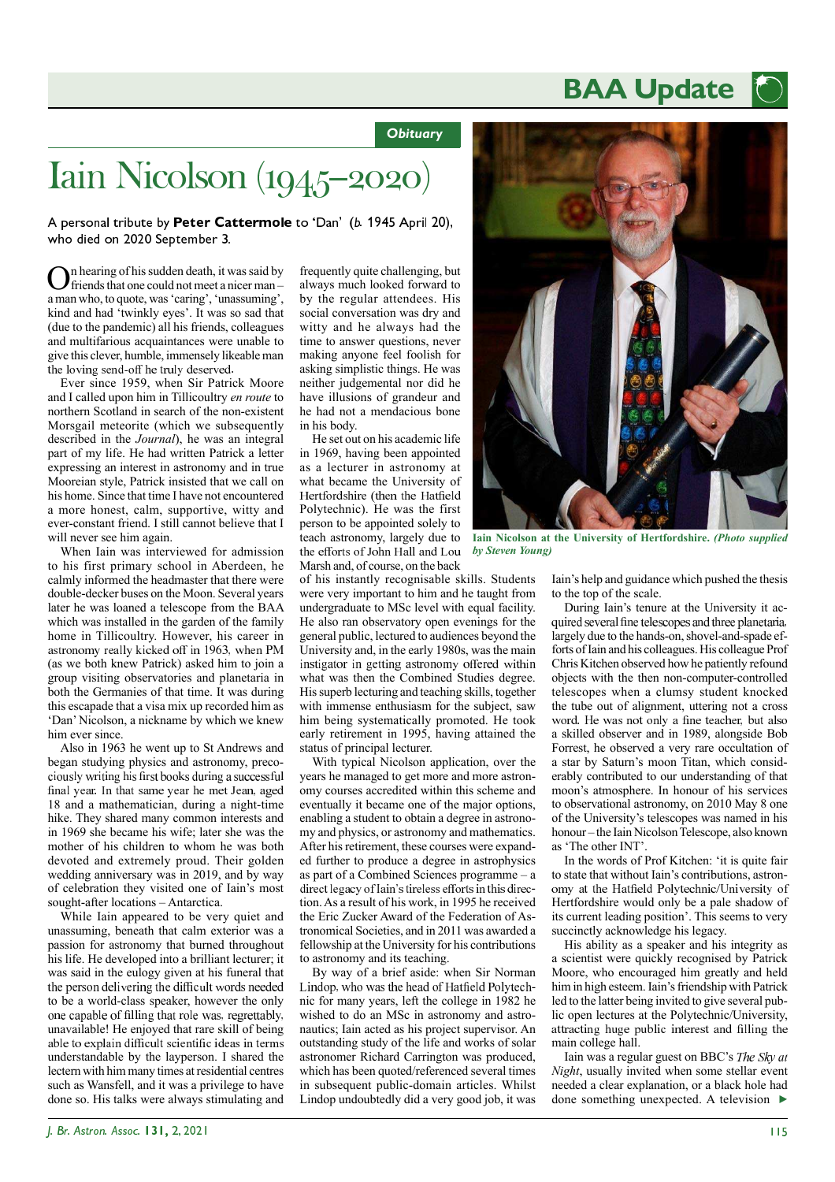## **BAA Update**

*Obituary*

## Iain Nicolson (1945-2020)

A personal tribute by Peter Cattermole to 'Dan' (b. 1945 April 20), who died on 2020 September 3.

O n hearing of his sudden death, it was said by friends that one could not meet a nicer man – a man who, to quote, was 'caring', 'unassuming', kind and had 'twinkly eyes'. It was so sad that (due to the pandemic) all his friends, colleagues and multifarious acquaintances were unable to give this clever, humble, immensely likeable man the loving send-off he truly deserved.

Ever since 1959, when Sir Patrick Moore and I called upon him in Tillicoultry *en route* to northern Scotland in search of the non-existent Morsgail meteorite (which we subsequently described in the *Journal*), he was an integral part of my life. He had written Patrick a letter expressing an interest in astronomy and in true Mooreian style, Patrick insisted that we call on his home. Since that time I have not encountered a more honest, calm, supportive, witty and ever-constant friend. I still cannot believe that I will never see him again.

When Iain was interviewed for admission to his first primary school in Aberdeen, he calmly informed the headmaster that there were double-decker buses on the Moon. Several years later he was loaned a telescope from the BAA which was installed in the garden of the family home in Tillicoultry. However, his career in astronomy really kicked off in 1963, when PM (as we both knew Patrick) asked him to join a group visiting observatories and planetaria in both the Germanies of that time. It was during this escapade that a visa mix up recorded him as 'Dan' Nicolson, a nickname by which we knew him ever since.

Also in 1963 he went up to St Andrews and began studying physics and astronomy, preco ciously writing his first books during a successful final year. In that same year he met Jean, aged 18 and a mathematician, during a night-time hike. They shared many common interests and in 1969 she became his wife; later she was the mother of his children to whom he was both devoted and extremely proud. Their golden wedding anniversary was in 2019, and by way of celebration they visited one of Iain's most sought-after locations – Antarctica.

While Iain appeared to be very quiet and unassuming, beneath that calm exterior was a passion for astronomy that burned throughout his life. He developed into a brilliant lecturer; it was said in the eulogy given at his funeral that the person delivering the difficult words needed to be a world-class speaker, however the only one capable of filling that role was, regrettably, unavailable! He enjoyed that rare skill of being able to explain difficult scientific ideas in terms understandable by the layperson. I shared the lectern with him many times at residential centres such as Wansfell, and it was a privilege to have done so. His talks were always stimulating and

frequently quite challenging, but always much looked forward to by the regular attendees. His social conversation was dry and witty and he always had the time to answer questions, never making anyone feel foolish for asking simplistic things. He was neither judgemental nor did he have illusions of grandeur and he had not a mendacious bone in his body.

He set out on his academic life in 1969, having been appointed as a lecturer in astronomy at what became the University of Hertfordshire (then the Hatfield Polytechnic). He was the first person to be appointed solely to teach astronomy, largely due to the efforts of John Hall and Lou Marsh and, of course, on the back

of his instantly recognisable skills. Students were very important to him and he taught from undergraduate to MSc level with equal facility. He also ran observatory open evenings for the general public, lectured to audiences beyond the University and, in the early 1980s, was the main instigator in getting astronomy offered within what was then the Combined Studies degree. His superb lecturing and teaching skills, together with immense enthusiasm for the subject, saw him being systematically promoted. He took early retirement in 1995, having attained the status of principal lecturer.

With typical Nicolson application, over the years he managed to get more and more astronomy courses accredited within this scheme and eventually it became one of the major options, enabling a student to obtain a degree in astronomy and physics, or astronomy and mathematics. After his retirement, these courses were expanded further to produce a degree in astrophysics as part of a Combined Sciences programme – a direct legacy of Iain's tireless efforts in this direction. As a result of his work, in 1995 he received the Eric Zucker Award of the Federation of Astronomical Societies, and in 2011 was awarded a fellowship at the University for his contributions to astronomy and its teaching.

By way of a brief aside: when Sir Norman Lindop, who was the head of Hatfield Polytechnic for many years, left the college in 1982 he wished to do an MSc in astronomy and astronautics; Iain acted as his project supervisor. An outstanding study of the life and works of solar astronomer Richard Carrington was produced, which has been quoted/referenced several times in subsequent public-domain articles. Whilst Lindop undoubtedly did a very good job, it was



**Iain Nicolson at the University of Hertfordshire.** *(Photo supplied by Steven Young)*

Iain's help and guidance which pushed the thesis to the top of the scale.

During Iain's tenure at the University it ac quired several fine telescopes and three planetaria, largely due to the hands-on, shovel-and-spade efforts of Iain and his colleagues. His colleague Prof Chris Kitchen observed how he patiently refound objects with the then non-computer-controlled telescopes when a clumsy student knocked the tube out of alignment, uttering not a cross word. He was not only a fine teacher, but also a skilled observer and in 1989, alongside Bob Forrest, he observed a very rare occultation of a star by Saturn's moon Titan, which considerably contributed to our understanding of that moon's atmosphere. In honour of his services to observational astronomy, on 2010 May 8 one of the University's telescopes was named in his honour – the Iain Nicolson Telescope, also known as 'The other INT'.

In the words of Prof Kitchen: 'it is quite fair to state that without Iain's contributions, astron omy at the Hatfield Polytechnic/University of Hertfordshire would only be a pale shadow of its current leading position'. This seems to very succinctly acknowledge his legacy.

His ability as a speaker and his integrity as a scientist were quickly recognised by Patrick Moore, who encouraged him greatly and held him in high esteem. Iain's friendship with Patrick led to the latter being invited to give several public open lectures at the Polytechnic/University, attracting huge public interest and filling the main college hall.

Iain was a regular guest on BBC's The Sky at *Night*, usually invited when some stellar event needed a clear explanation, or a black hole had done something unexpected. A television  $\blacktriangleright$